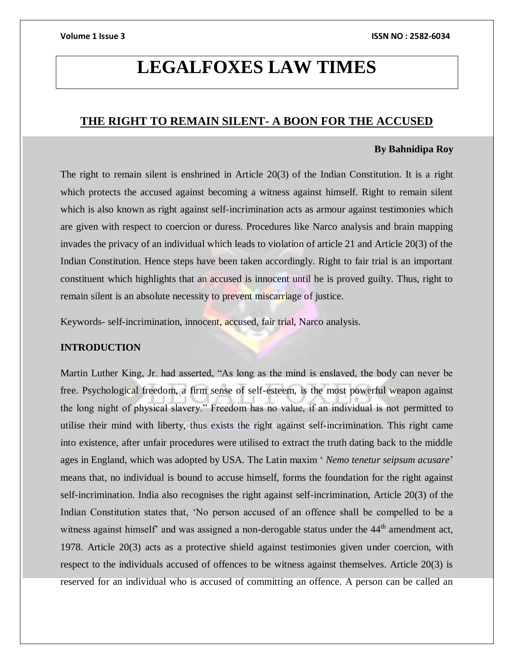## **LEGALFOXES LAW TIMES**

### **THE RIGHT TO REMAIN SILENT- A BOON FOR THE ACCUSED**

### **By Bahnidipa Roy**

The right to remain silent is enshrined in Article 20(3) of the Indian Constitution. It is a right which protects the accused against becoming a witness against himself. Right to remain silent which is also known as right against self-incrimination acts as armour against testimonies which are given with respect to coercion or duress. Procedures like Narco analysis and brain mapping invades the privacy of an individual which leads to violation of article 21 and Article 20(3) of the Indian Constitution. Hence steps have been taken accordingly. Right to fair trial is an important constituent which highlights that an accused is innocent until he is proved guilty. Thus, right to remain silent is an absolute necessity to prevent miscarriage of justice.

Keywords- self-incrimination, innocent, accused, fair trial, Narco analysis.

### **INTRODUCTION**

Martin Luther King, Jr. had asserted, "As long as the mind is enslaved, the body can never be free. Psychological freedom, a firm sense of self-esteem, is the most powerful weapon against the long night of physical slavery." Freedom has no value, if an individual is not permitted to utilise their mind with liberty, thus exists the right against self-incrimination. This right came into existence, after unfair procedures were utilised to extract the truth dating back to the middle ages in England, which was adopted by USA. The Latin maxim ' *Nemo tenetur seipsum acusare*' means that, no individual is bound to accuse himself, forms the foundation for the right against self-incrimination. India also recognises the right against self-incrimination, Article 20(3) of the Indian Constitution states that, 'No person accused of an offence shall be compelled to be a witness against himself' and was assigned a non-derogable status under the 44<sup>th</sup> amendment act, 1978. Article 20(3) acts as a protective shield against testimonies given under coercion, with respect to the individuals accused of offences to be witness against themselves. Article 20(3) is reserved for an individual who is accused of committing an offence. A person can be called an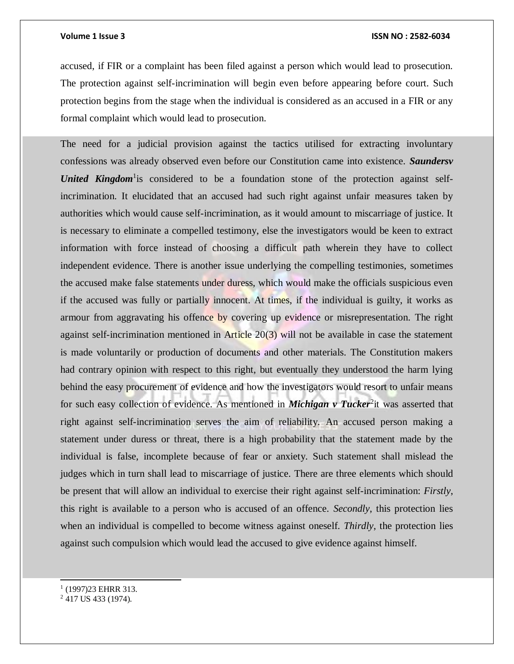accused, if FIR or a complaint has been filed against a person which would lead to prosecution. The protection against self-incrimination will begin even before appearing before court. Such protection begins from the stage when the individual is considered as an accused in a FIR or any formal complaint which would lead to prosecution.

The need for a judicial provision against the tactics utilised for extracting involuntary confessions was already observed even before our Constitution came into existence. *Saundersv*  United Kingdom<sup>1</sup> is considered to be a foundation stone of the protection against selfincrimination. It elucidated that an accused had such right against unfair measures taken by authorities which would cause self-incrimination, as it would amount to miscarriage of justice. It is necessary to eliminate a compelled testimony, else the investigators would be keen to extract information with force instead of choosing a difficult path wherein they have to collect independent evidence. There is another issue underlying the compelling testimonies, sometimes the accused make false statements under duress, which would make the officials suspicious even if the accused was fully or partially innocent. At times, if the individual is guilty, it works as armour from aggravating his offence by covering up evidence or misrepresentation. The right against self-incrimination mentioned in Article  $20(3)$  will not be available in case the statement is made voluntarily or production of documents and other materials. The Constitution makers had contrary opinion with respect to this right, but eventually they understood the harm lying behind the easy procurement of evidence and how the investigators would resort to unfair means for such easy collection of evidence. As mentioned in *Michigan v Tucker*<sup>2</sup>it was asserted that right against self-incrimination serves the aim of reliability. An accused person making a statement under duress or threat, there is a high probability that the statement made by the individual is false, incomplete because of fear or anxiety. Such statement shall mislead the judges which in turn shall lead to miscarriage of justice. There are three elements which should be present that will allow an individual to exercise their right against self-incrimination: *Firstly*, this right is available to a person who is accused of an offence. *Secondly*, this protection lies when an individual is compelled to become witness against oneself. *Thirdly*, the protection lies against such compulsion which would lead the accused to give evidence against himself.

l

<sup>&</sup>lt;sup>1</sup> (1997) 23 EHRR 313.

<sup>2</sup> 417 US 433 (1974).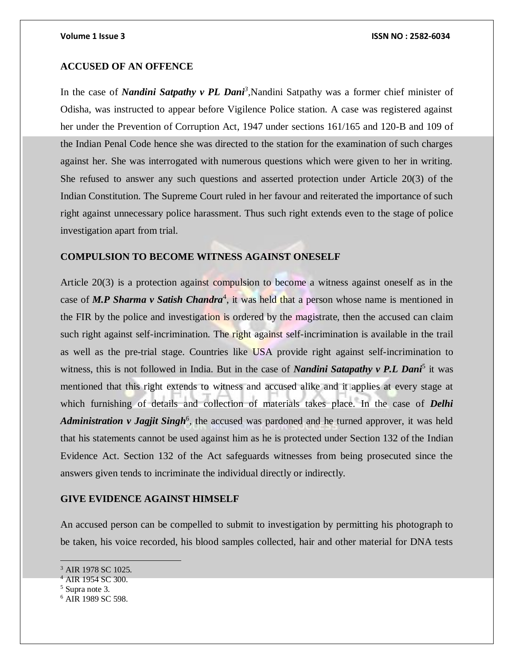#### **ACCUSED OF AN OFFENCE**

In the case of *Nandini Satpathy v PL Dani<sup>3</sup>*, Nandini Satpathy was a former chief minister of Odisha, was instructed to appear before Vigilence Police station. A case was registered against her under the Prevention of Corruption Act, 1947 under sections 161/165 and 120-B and 109 of the Indian Penal Code hence she was directed to the station for the examination of such charges against her. She was interrogated with numerous questions which were given to her in writing. She refused to answer any such questions and asserted protection under Article 20(3) of the Indian Constitution. The Supreme Court ruled in her favour and reiterated the importance of such right against unnecessary police harassment. Thus such right extends even to the stage of police investigation apart from trial.

#### **COMPULSION TO BECOME WITNESS AGAINST ONESELF**

Article 20(3) is a protection against compulsion to become a witness against oneself as in the case of *M.P Sharma v Satish Chandra<sup>4</sup>*, it was held that a person whose name is mentioned in the FIR by the police and investigation is ordered by the magistrate, then the accused can claim such right against self-incrimination. The right against self-incrimination is available in the trail as well as the pre-trial stage. Countries like USA provide right against self-incrimination to witness, this is not followed in India. But in the case of *Nandini Satapathy v P.L Dani*<sup>5</sup> it was mentioned that this right extends to witness and accused alike and it applies at every stage at which furnishing of details and collection of materials takes place. In the case of *Delhi*  Administration v Jagjit Singh<sup>6</sup>, the accused was pardoned and he turned approver, it was held that his statements cannot be used against him as he is protected under Section 132 of the Indian Evidence Act. Section 132 of the Act safeguards witnesses from being prosecuted since the answers given tends to incriminate the individual directly or indirectly.

### **GIVE EVIDENCE AGAINST HIMSELF**

An accused person can be compelled to submit to investigation by permitting his photograph to be taken, his voice recorded, his blood samples collected, hair and other material for DNA tests

<sup>&</sup>lt;sup>3</sup> AIR 1978 SC 1025.

<sup>4</sup> AIR 1954 SC 300.

<sup>5</sup> Supra note 3.

<sup>6</sup> AIR 1989 SC 598.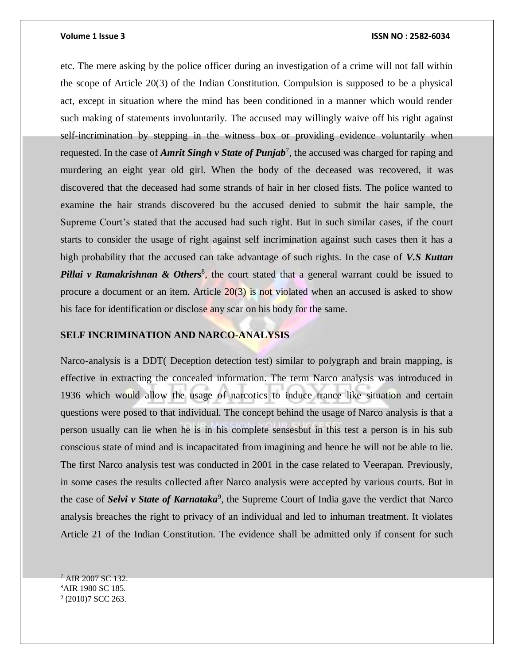etc. The mere asking by the police officer during an investigation of a crime will not fall within the scope of Article 20(3) of the Indian Constitution. Compulsion is supposed to be a physical act, except in situation where the mind has been conditioned in a manner which would render such making of statements involuntarily. The accused may willingly waive off his right against self-incrimination by stepping in the witness box or providing evidence voluntarily when requested. In the case of *Amrit Singh v State of Punjab<sup>7</sup>*, the accused was charged for raping and murdering an eight year old girl. When the body of the deceased was recovered, it was discovered that the deceased had some strands of hair in her closed fists. The police wanted to examine the hair strands discovered bu the accused denied to submit the hair sample, the Supreme Court's stated that the accused had such right. But in such similar cases, if the court starts to consider the usage of right against self incrimination against such cases then it has a high probability that the accused can take advantage of such rights. In the case of *V.S Kuttan*  Pillai v Ramakrishnan & Others<sup>8</sup>, the court stated that a general warrant could be issued to procure a document or an item. Article  $20(3)$  is not violated when an accused is asked to show his face for identification or disclose any scar on his body for the same.

#### **SELF INCRIMINATION AND NARCO-ANALYSIS**

Narco-analysis is a DDT( Deception detection test) similar to polygraph and brain mapping, is effective in extracting the concealed information. The term Narco analysis was introduced in 1936 which would allow the usage of narcotics to induce trance like situation and certain questions were posed to that individual. The concept behind the usage of Narco analysis is that a person usually can lie when he is in his complete sensesbut in this test a person is in his sub conscious state of mind and is incapacitated from imagining and hence he will not be able to lie. The first Narco analysis test was conducted in 2001 in the case related to Veerapan. Previously, in some cases the results collected after Narco analysis were accepted by various courts. But in the case of *Selvi v State of Karnataka*<sup>9</sup>, the Supreme Court of India gave the verdict that Narco analysis breaches the right to privacy of an individual and led to inhuman treatment. It violates Article 21 of the Indian Constitution. The evidence shall be admitted only if consent for such

 <sup>7</sup> AIR 2007 SC 132.

<sup>8</sup>AIR 1980 SC 185.

<sup>&</sup>lt;sup>9</sup> (2010)7 SCC 263.